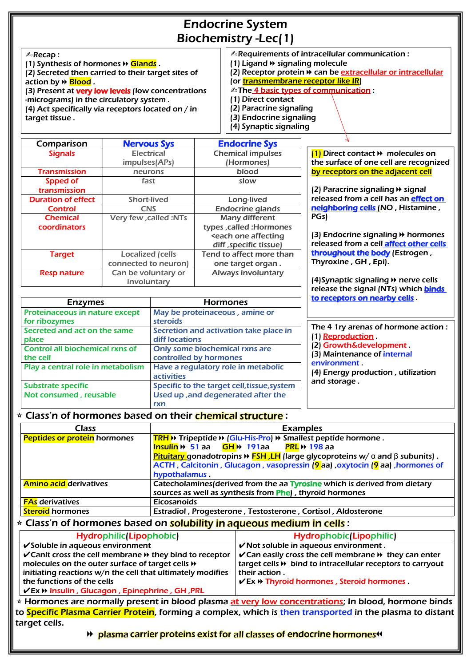## Endocrine System Biochemistry -Lec(1)

| <b>Enzymes</b>                                     | <b>Hormones</b>                                          | <u>to receptors on nearby cells</u>                      |
|----------------------------------------------------|----------------------------------------------------------|----------------------------------------------------------|
| Proteinaceous in nature except<br>for ribozymes    | May be proteinaceous, amine or<br>steroids               |                                                          |
| Secreted and act on the same<br>place              | Secretion and activation take place in<br>diff locations | The 4 1ry arenas of hormone action :<br>(1) Reproduction |
| <b>Control all biochemical rxns of</b><br>the cell | Only some biochemical rxns are<br>controlled by hormones | (2) Growth&development<br>(3) Maintenance of internal    |
| Play a central role in metabolism                  | Have a regulatory role in metabolic<br><b>activities</b> | environment<br>(4) Energy production, utilization        |
| <b>Substrate specific</b>                          | Specific to the target cell, tissue, system              | and storage.                                             |
| Not consumed, reusable                             | Used up, and degenerated after the                       |                                                          |
|                                                    | rxn                                                      |                                                          |

(2) Secreted then carried to their target sites of action by <sup>→</sup> Blood .

(3) Present at very low levels (low concentrations -micrograms) in the circulatory system .

(4) Act specifically via receptors located on / in matrices of hormones and **Glands**<br>
(1) Synthesis of hormones and **Glands**<br>
(2) Secreted then carried to their target sites of<br>
(2) Receptor protein and be extracellular or intracellular<br>
(3) Present at **very low levels**

| Comparison                | <b>Nervous Sys</b>           | <b>Endocrine Sys</b>       |                                                    |
|---------------------------|------------------------------|----------------------------|----------------------------------------------------|
| <b>Signals</b>            | <b>Electrical</b>            | <b>Chemical impulses</b>   | $(1)$ Direct contact $\rightarrow$ molecules on    |
|                           | impulses(APs)                | (Hormones)                 | the surface of one cell are recognized             |
| <b>Transmission</b>       | neurons                      | blood                      | by receptors on the adjacent cell                  |
| Spped of                  | fast                         | slow                       |                                                    |
| transmission              |                              |                            | (2) Paracrine signaling $\rightarrow$ signal       |
| <b>Duration of effect</b> | <b>Short-lived</b>           | <b>Long-lived</b>          | released from a cell has an effect on              |
| <b>Control</b>            | <b>CNS</b>                   | <b>Endocrine glands</b>    | neighboring cells (NO, Histamine,                  |
| <b>Chemical</b>           | <b>Very few, called :NTs</b> | <b>Many different</b>      | PGs)                                               |
| coordinators              |                              | types, called : Hormones   |                                                    |
|                           |                              | <b>seach one affecting</b> | (3) Endocrine signaling $\rightarrow$ hormones     |
|                           |                              | diff, specific tissue)     | released from a cell affect other cells            |
| <b>Target</b>             | <b>Localized (cells</b>      | Tend to affect more than   | throughout the body (Estrogen,                     |
|                           | connected to neuron)         | one target organ.          | Thyroxine, GH, Epi).                               |
| <b>Resp nature</b>        | Can be voluntary or          | <b>Always involuntary</b>  |                                                    |
|                           | involuntary                  |                            | $(4)$ Synaptic signaling $\rightarrow$ nerve cells |
|                           |                              |                            | release the signal (NTs) which <b>binds</b>        |

| <b>Class</b>                                                                                                  |                                              | <b>Examples</b>                                                                                                        |
|---------------------------------------------------------------------------------------------------------------|----------------------------------------------|------------------------------------------------------------------------------------------------------------------------|
| <b>Peptides or protein</b> hormones<br><b>TRH</b> >> Tripeptide >> (Glu-His-Pro) >> Smallest peptide hormone. |                                              |                                                                                                                        |
|                                                                                                               | <b>Insulin &gt;&gt; 51</b> aa $GH$ >> 191 aa | <b>PRL</b> $\rightarrow$ 198 aa                                                                                        |
|                                                                                                               |                                              | <b>Pituitary</b> gonadotropins $\triangleright$ <b>FSH, LH</b> (large glycoproteins w/ $\alpha$ and $\beta$ subunits). |
|                                                                                                               |                                              | ACTH, Calcitonin, Glucagon, vasopressin ( <mark>9</mark> aa), oxytocin (9 aa), hormones of                             |
|                                                                                                               | hypothalamus.                                |                                                                                                                        |
| <b>Amino acid derivatives</b>                                                                                 |                                              | Catecholamines (derived from the aa Tyrosine which is derived from dietary                                             |
|                                                                                                               |                                              | sources as well as synthesis from Phe), thyroid hormones                                                               |
| <b>FAs</b> derivatives                                                                                        | <b>Eicosanoids</b>                           |                                                                                                                        |
| <b>Steroid hormones</b>                                                                                       |                                              | Estradiol, Progesterone, Testosterone, Cortisol, Aldosterone                                                           |
| * Class'n of hormones based on solubility in aqueous medium in cells :                                        |                                              |                                                                                                                        |
| <b>Hydrophilic(Lipophobic)</b>                                                                                |                                              | <b>Hydrophobic(Lipophilic)</b>                                                                                         |
| $\checkmark$ Soluble in aqueous environment                                                                   |                                              | V Not soluble in aqueous environment.                                                                                  |
| $\checkmark$ Canit cross the cell membrane $\checkmark$ they bind to receptor                                 |                                              | $\checkmark$ Can easily cross the cell membrane $\checkmark$ they can enter                                            |
| molecules on the outer surface of target cells $\rightarrow$                                                  |                                              | target cells → bind to intracellular receptors to carryout                                                             |
| initiating reactions w/n the cell that ultimately modifies                                                    |                                              | their action.                                                                                                          |
| the functions of the cells                                                                                    |                                              | <b>VEX → Thyroid hormones, Steroid hormones</b>                                                                        |
| <b>VEx → Insulin, Glucagon, Epinephrine, GH, PRL</b>                                                          |                                              |                                                                                                                        |
|                                                                                                               |                                              | * Hormones are normally present in blood plasma at very low concentrations; In blood, hormone binds                    |
|                                                                                                               |                                              | to Specific Plasma Carrier Protein, forming a complex, which is then transported in the plasma to distant              |
| target cells.                                                                                                 |                                              |                                                                                                                        |
|                                                                                                               |                                              | Depending to a larger proteins exist for all classes of endocrine hormones.                                            |
|                                                                                                               |                                              |                                                                                                                        |

✍Recap :

(1) Synthesis of hormones → Glands

- (1) Ligand ⏩ signaling molecule
- (2) Receptor protein  $\mathcal V$  can be extracellular or intracellular
- (or **transmembrane receptor like IR)**
- **△The 4 basic types of communication :**
- (1) Direct contact
- (2) Paracrine signaling
- (3) Endocrine signaling
- (4) Synaptic signaling

to receptors on nearby cells .

## **Example 2 Servings Class 2 Servings 2 Serving Arts 2 Serving Arts 2 Serving 2 Serving 2 Serving 2 Serving 2 Serving 2 Serving 2 Serving 2 Serving 2 Serving 2 Serving 2 Serving 2 Serving 2 Serving 2 Serving 2 Serving 2 Ser**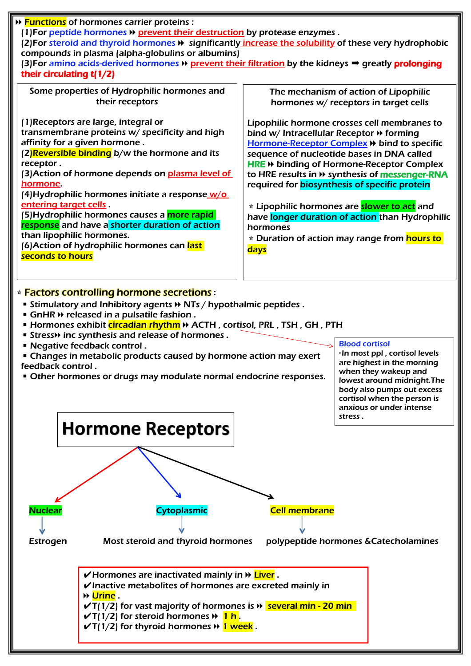■ Changes in metabolic products caused by hormone action may exert feedback control .

■ Other hormones or drugs may modulate normal endocrine responses.

| (1) For peptide hormones $\triangleright$ prevent their destruction by protease enzymes.<br>(2) For steroid and thyroid hormones $\blacklozenge$ significantly increase the solubility of these very hydrophobic<br>compounds in plasma (alpha-globulins or albumins)<br>(3) For amino acids-derived hormones + prevent their filtration by the kidneys → greatly prolonging<br>their circulating $t(1/2)$<br>Some properties of Hydrophilic hormones and<br>The mechanism of action of Lipophilic<br>their receptors<br>hormones w/ receptors in target cells<br>(1)Receptors are large, integral or<br>Lipophilic hormone crosses cell membranes to<br>transmembrane proteins w/ specificity and high<br>bind w/ Intracellular Receptor → forming<br>affinity for a given hormone.<br>Hormone-Receptor Complex >> bind to specific<br>(2) Reversible binding b/w the hormone and its<br>sequence of nucleotide bases in DNA called<br>receptor.<br>HRE → binding of Hormone-Receptor Complex<br>(3) Action of hormone depends on plasma level of<br>to HRE results in $\rightarrow$ synthesis of messenger-RNA<br>hormone.<br>required for <b>biosynthesis of specific protein</b><br>(4) Hydrophilic hormones initiate a response w/o<br>entering target cells.<br><b>* Lipophilic hormones are slower to act</b> and<br>(5)Hydrophilic hormones causes a <mark>more rapid-</mark><br>have longer duration of action than Hydrophilic<br><mark>response</mark> and have a shorter duration of action<br>hormones<br>than lipophilic hormones.<br><b>* Duration of action may range from hours to</b><br>(6)Action of hydrophilic hormones can <mark>last</mark><br><b>days</b><br>seconds to hours | → Functions of hormones carrier proteins : |  |
|-------------------------------------------------------------------------------------------------------------------------------------------------------------------------------------------------------------------------------------------------------------------------------------------------------------------------------------------------------------------------------------------------------------------------------------------------------------------------------------------------------------------------------------------------------------------------------------------------------------------------------------------------------------------------------------------------------------------------------------------------------------------------------------------------------------------------------------------------------------------------------------------------------------------------------------------------------------------------------------------------------------------------------------------------------------------------------------------------------------------------------------------------------------------------------------------------------------------------------------------------------------------------------------------------------------------------------------------------------------------------------------------------------------------------------------------------------------------------------------------------------------------------------------------------------------------------------------------------------------------------------------------------------------------------------------------------------|--------------------------------------------|--|
|                                                                                                                                                                                                                                                                                                                                                                                                                                                                                                                                                                                                                                                                                                                                                                                                                                                                                                                                                                                                                                                                                                                                                                                                                                                                                                                                                                                                                                                                                                                                                                                                                                                                                                       |                                            |  |
|                                                                                                                                                                                                                                                                                                                                                                                                                                                                                                                                                                                                                                                                                                                                                                                                                                                                                                                                                                                                                                                                                                                                                                                                                                                                                                                                                                                                                                                                                                                                                                                                                                                                                                       |                                            |  |
|                                                                                                                                                                                                                                                                                                                                                                                                                                                                                                                                                                                                                                                                                                                                                                                                                                                                                                                                                                                                                                                                                                                                                                                                                                                                                                                                                                                                                                                                                                                                                                                                                                                                                                       |                                            |  |

### **<u><b>Eactors controlling hormone secretions:**</u>

- Stimulatory and Inhibitory agents  $map$  NTs / hypothalmic peptides .
- GnHR  $\rightarrow$  released in a pulsatile fashion.
- Hormones exhibit *circadian rhythm* > ACTH, cortisol, PRL, TSH, GH, PTH
- Stress→ inc synthesis and release of hormones.
- Negative feedback control .



#### Blood cortisol

▫In most ppl , cortisol levels are highest in the morning when they wakeup and lowest around midnight.The body also pumps out excess cortisol when the person is anxious or under intense stress .

# **Hormone Receptors**